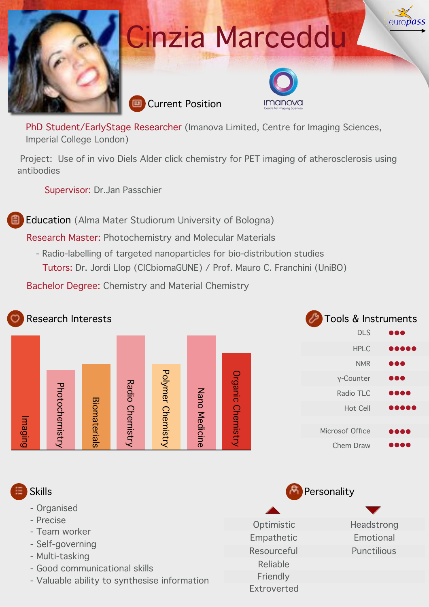

# Cinzia Marceddu





auro*nass* 

PhD Student/EarlyStage Researcher (Imanova Limited, Centre for Imaging Sciences, Imperial College London)

 Project: Use of in vivo Diels Alder click chemistry for PET imaging of atherosclerosis using antibodies

Supervisor: Dr.Jan Passchier

Education (Alma Mater Studiorum University of Bologna)

Research Master: Photochemistry and Molecular Materials

- Radio-labelling of targeted nanoparticles for bio-distribution studies Tutors: Dr. Jordi Llop (CICbiomaGUNE) / Prof. Mauro C. Franchini (UniBO)

Bachelor Degree: Chemistry and Material Chemistry

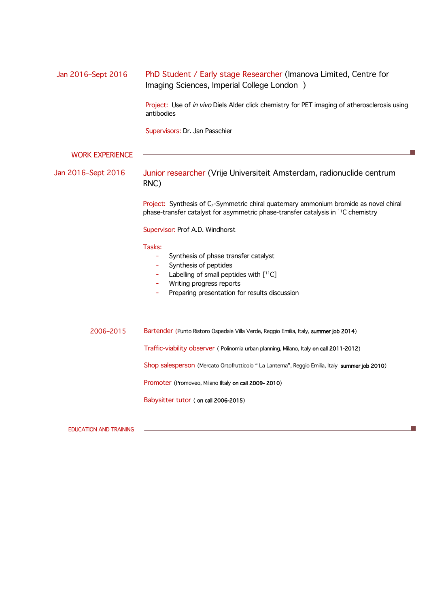| Jan 2016-Sept 2016     | PhD Student / Early stage Researcher (Imanova Limited, Centre for<br>Imaging Sciences, Imperial College London )                                                                               |  |  |  |  |
|------------------------|------------------------------------------------------------------------------------------------------------------------------------------------------------------------------------------------|--|--|--|--|
|                        | Project: Use of in vivo Diels Alder click chemistry for PET imaging of atherosclerosis using<br>antibodies                                                                                     |  |  |  |  |
|                        | Supervisors: Dr. Jan Passchier                                                                                                                                                                 |  |  |  |  |
| <b>WORK EXPERIENCE</b> |                                                                                                                                                                                                |  |  |  |  |
| Jan 2016–Sept 2016     | Junior researcher (Vrije Universiteit Amsterdam, radionuclide centrum<br>RNC)                                                                                                                  |  |  |  |  |
|                        | Project: Synthesis of $C_2$ -Symmetric chiral quaternary ammonium bromide as novel chiral<br>phase-transfer catalyst for asymmetric phase-transfer catalysis in <sup>11</sup> C chemistry      |  |  |  |  |
|                        | Supervisor: Prof A.D. Windhorst                                                                                                                                                                |  |  |  |  |
|                        | Tasks:<br>Synthesis of phase transfer catalyst<br>Synthesis of peptides<br>Labelling of small peptides with [11C]<br>Writing progress reports<br>Preparing presentation for results discussion |  |  |  |  |
| 2006-2015              | Bartender (Punto Ristoro Ospedale Villa Verde, Reggio Emilia, Italy, summer job 2014)                                                                                                          |  |  |  |  |
|                        | Traffic-viability observer (Polinomia urban planning, Milano, Italy on call 2011-2012)                                                                                                         |  |  |  |  |
|                        | Shop salesperson (Mercato Ortofrutticolo " La Lanterna", Reggio Emilia, Italy summer job 2010)                                                                                                 |  |  |  |  |
|                        | Promoter (Promoveo, Milano Iltaly on call 2009-2010)                                                                                                                                           |  |  |  |  |
|                        | Babysitter tutor (on call 2006-2015)                                                                                                                                                           |  |  |  |  |

J.

EDUCATION AND TRAINING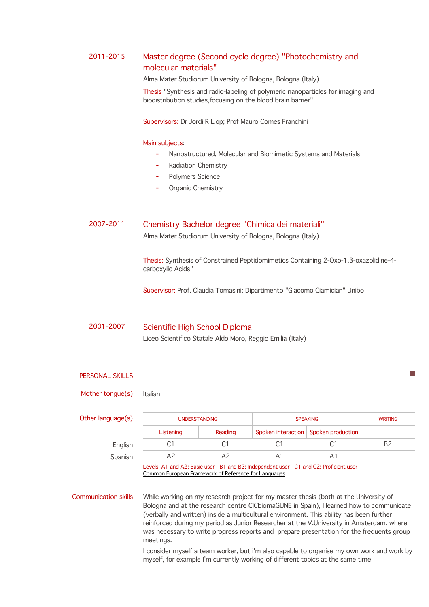## 2011–2015 Master degree (Second cycle degree) "Photochemistry and molecular materials"

Alma Mater Studiorum University of Bologna, Bologna (Italy)

Thesis "Synthesis and radio-labeling of polymeric nanoparticles for imaging and biodistribution studies,focusing on the blood brain barrier"

Supervisors: Dr Jordi R Llop; Prof Mauro Comes Franchini

#### Main subjects:

- Nanostructured, Molecular and Biomimetic Systems and Materials
- Radiation Chemistry
- Polymers Science
- Organic Chemistry

### 2007–2011 Chemistry Bachelor degree "Chimica dei materiali"

Alma Mater Studiorum University of Bologna, Bologna (Italy)

Thesis: Synthesis of Constrained Peptidomimetics Containing 2-Oxo-1,3-oxazolidine-4 carboxylic Acids"

Supervisor: Prof. Claudia Tomasini; Dipartimento "Giacomo Ciamician" Unibo

# 2001–2007 Scientific High School Diploma

Liceo Scientifico Statale Aldo Moro, Reggio Emilia (Italy)

| <b>PERSONAL SKILLS</b>      |                                                                                                                                                                                                                                                                                                                                                                                                                                                                                  |                |                    |                   |                |  |  |
|-----------------------------|----------------------------------------------------------------------------------------------------------------------------------------------------------------------------------------------------------------------------------------------------------------------------------------------------------------------------------------------------------------------------------------------------------------------------------------------------------------------------------|----------------|--------------------|-------------------|----------------|--|--|
| Mother tongue(s)            | Italian                                                                                                                                                                                                                                                                                                                                                                                                                                                                          |                |                    |                   |                |  |  |
| Other language(s)           | <b>UNDERSTANDING</b>                                                                                                                                                                                                                                                                                                                                                                                                                                                             |                | <b>SPEAKING</b>    |                   | <b>WRITING</b> |  |  |
|                             | Listening                                                                                                                                                                                                                                                                                                                                                                                                                                                                        | Reading        | Spoken interaction | Spoken production |                |  |  |
| English                     | C1                                                                                                                                                                                                                                                                                                                                                                                                                                                                               | C1             | C <sub>1</sub>     | C <sub>1</sub>    | <b>B2</b>      |  |  |
| Spanish                     | A <sup>2</sup>                                                                                                                                                                                                                                                                                                                                                                                                                                                                   | A <sup>2</sup> | A1                 | A <sub>1</sub>    |                |  |  |
|                             | Levels: A1 and A2: Basic user - B1 and B2: Independent user - C1 and C2: Proficient user<br>Common European Framework of Reference for Languages                                                                                                                                                                                                                                                                                                                                 |                |                    |                   |                |  |  |
| <b>Communication skills</b> | While working on my research project for my master thesis (both at the University of<br>Bologna and at the research centre CICbiomaGUNE in Spain), I learned how to communicate<br>(verbally and written) inside a multicultural environment. This ability has been further<br>reinforced during my period as Junior Researcher at the V.University in Amsterdam, where<br>was necessary to write progress reports and prepare presentation for the frequents group<br>meetings. |                |                    |                   |                |  |  |
|                             | I consider myself a team worker, but i'm also capable to organise my own work and work by<br>myself, for example I'm currently working of different topics at the same time                                                                                                                                                                                                                                                                                                      |                |                    |                   |                |  |  |